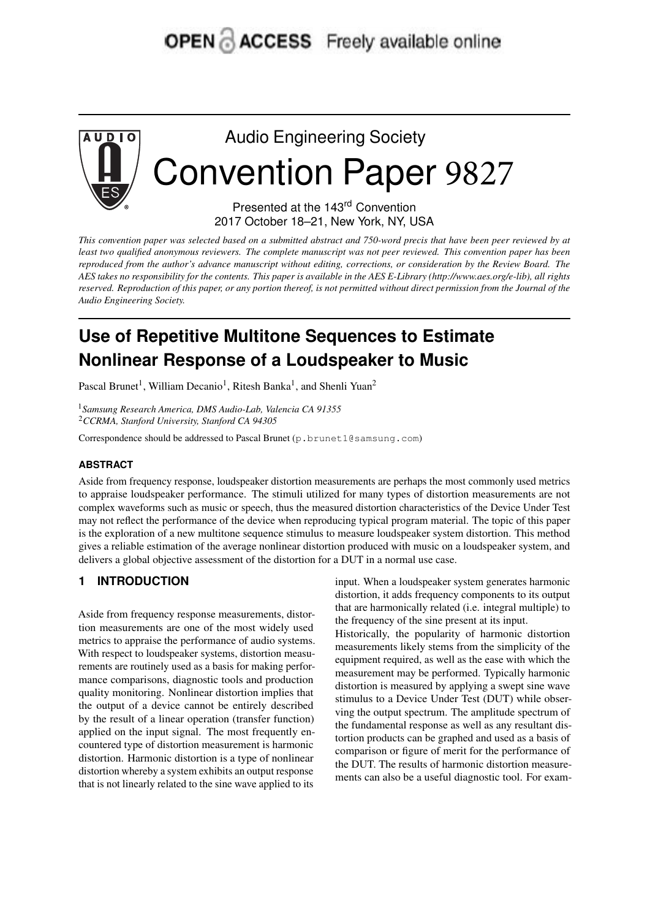# **OPEN & ACCESS** Freely available online



# Audio Engineering Society Convention Paper 9827

Presented at the 143<sup>rd</sup> Convention 2017 October 18–21, New York, NY, USA

This convention paper was selected based on a submitted abstract and 750-word precis that have been peer reviewed by at least two qualified anonymous reviewers. The complete manuscript was not peer reviewed. This convention paper has been reproduced from the author's advance manuscript without editing, corrections, or consideration by the Review Board. The AES takes no responsibility for the contents. This paper is available in the AES E-Library (http://www.aes.org/e-lib), all rights reserved. Reproduction of this paper, or any portion thereof, is not permitted without direct permission from the Journal of the *Audio Engineering Society.*

# **Use of Repetitive Multitone Sequences to Estimate Nonlinear Response of a Loudspeaker to Music**

Pascal Brunet<sup>1</sup>, William Decanio<sup>1</sup>, Ritesh Banka<sup>1</sup>, and Shenli Yuan<sup>2</sup>

<sup>1</sup>*Samsung Research America, DMS Audio-Lab, Valencia CA 91355* <sup>2</sup>*CCRMA, Stanford University, Stanford CA 94305*

Correspondence should be addressed to Pascal Brunet (p.brunet1@samsung.com)

## **ABSTRACT**

Aside from frequency response, loudspeaker distortion measurements are perhaps the most commonly used metrics to appraise loudspeaker performance. The stimuli utilized for many types of distortion measurements are not complex waveforms such as music or speech, thus the measured distortion characteristics of the Device Under Test may not reflect the performance of the device when reproducing typical program material. The topic of this paper is the exploration of a new multitone sequence stimulus to measure loudspeaker system distortion. This method gives a reliable estimation of the average nonlinear distortion produced with music on a loudspeaker system, and delivers a global objective assessment of the distortion for a DUT in a normal use case.

# **1 INTRODUCTION**

Aside from frequency response measurements, distortion measurements are one of the most widely used metrics to appraise the performance of audio systems. With respect to loudspeaker systems, distortion measurements are routinely used as a basis for making performance comparisons, diagnostic tools and production quality monitoring. Nonlinear distortion implies that the output of a device cannot be entirely described by the result of a linear operation (transfer function) applied on the input signal. The most frequently encountered type of distortion measurement is harmonic distortion. Harmonic distortion is a type of nonlinear distortion whereby a system exhibits an output response that is not linearly related to the sine wave applied to its

input. When a loudspeaker system generates harmonic distortion, it adds frequency components to its output that are harmonically related (i.e. integral multiple) to the frequency of the sine present at its input.

Historically, the popularity of harmonic distortion measurements likely stems from the simplicity of the equipment required, as well as the ease with which the measurement may be performed. Typically harmonic distortion is measured by applying a swept sine wave stimulus to a Device Under Test (DUT) while observing the output spectrum. The amplitude spectrum of the fundamental response as well as any resultant distortion products can be graphed and used as a basis of comparison or figure of merit for the performance of the DUT. The results of harmonic distortion measurements can also be a useful diagnostic tool. For exam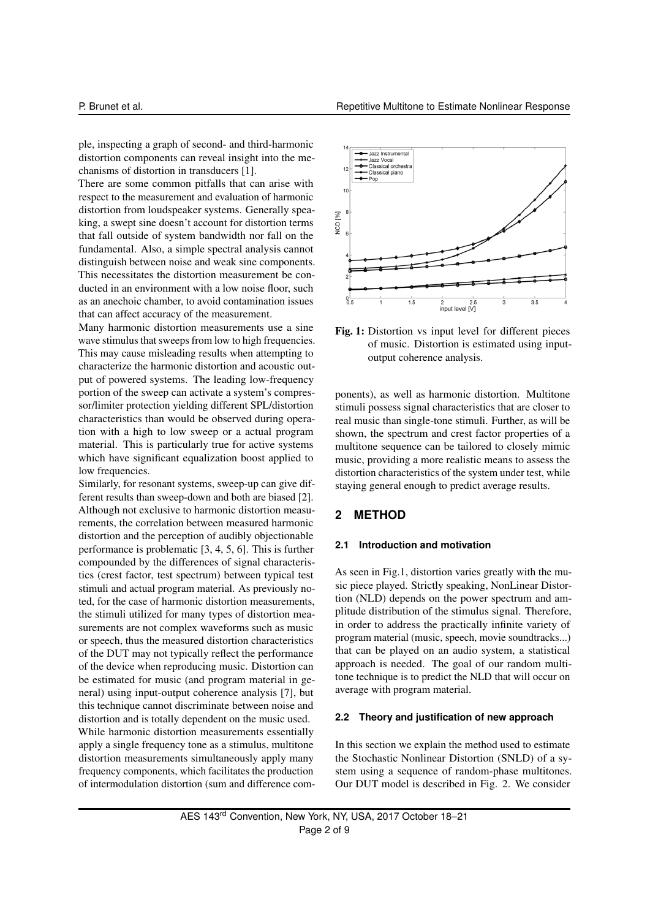ple, inspecting a graph of second- and third-harmonic distortion components can reveal insight into the mechanisms of distortion in transducers [1].

There are some common pitfalls that can arise with respect to the measurement and evaluation of harmonic distortion from loudspeaker systems. Generally speaking, a swept sine doesn't account for distortion terms that fall outside of system bandwidth nor fall on the fundamental. Also, a simple spectral analysis cannot distinguish between noise and weak sine components. This necessitates the distortion measurement be conducted in an environment with a low noise floor, such as an anechoic chamber, to avoid contamination issues that can affect accuracy of the measurement.

Many harmonic distortion measurements use a sine wave stimulus that sweeps from low to high frequencies. This may cause misleading results when attempting to characterize the harmonic distortion and acoustic output of powered systems. The leading low-frequency portion of the sweep can activate a system's compressor/limiter protection yielding different SPL/distortion characteristics than would be observed during operation with a high to low sweep or a actual program material. This is particularly true for active systems which have significant equalization boost applied to low frequencies.

Similarly, for resonant systems, sweep-up can give different results than sweep-down and both are biased [2]. Although not exclusive to harmonic distortion measurements, the correlation between measured harmonic distortion and the perception of audibly objectionable performance is problematic [3, 4, 5, 6]. This is further compounded by the differences of signal characteristics (crest factor, test spectrum) between typical test stimuli and actual program material. As previously noted, for the case of harmonic distortion measurements, the stimuli utilized for many types of distortion measurements are not complex waveforms such as music or speech, thus the measured distortion characteristics of the DUT may not typically reflect the performance of the device when reproducing music. Distortion can be estimated for music (and program material in general) using input-output coherence analysis [7], but this technique cannot discriminate between noise and distortion and is totally dependent on the music used. While harmonic distortion measurements essentially apply a single frequency tone as a stimulus, multitone distortion measurements simultaneously apply many frequency components, which facilitates the production of intermodulation distortion (sum and difference com-



Fig. 1: Distortion vs input level for different pieces of music. Distortion is estimated using inputoutput coherence analysis.

ponents), as well as harmonic distortion. Multitone stimuli possess signal characteristics that are closer to real music than single-tone stimuli. Further, as will be shown, the spectrum and crest factor properties of a multitone sequence can be tailored to closely mimic music, providing a more realistic means to assess the distortion characteristics of the system under test, while staying general enough to predict average results.

## **2 METHOD**

#### **2.1 Introduction and motivation**

As seen in Fig.1, distortion varies greatly with the music piece played. Strictly speaking, NonLinear Distortion (NLD) depends on the power spectrum and amplitude distribution of the stimulus signal. Therefore, in order to address the practically infinite variety of program material (music, speech, movie soundtracks...) that can be played on an audio system, a statistical approach is needed. The goal of our random multitone technique is to predict the NLD that will occur on average with program material.

#### **2.2 Theory and justification of new approach**

In this section we explain the method used to estimate the Stochastic Nonlinear Distortion (SNLD) of a system using a sequence of random-phase multitones. Our DUT model is described in Fig. 2. We consider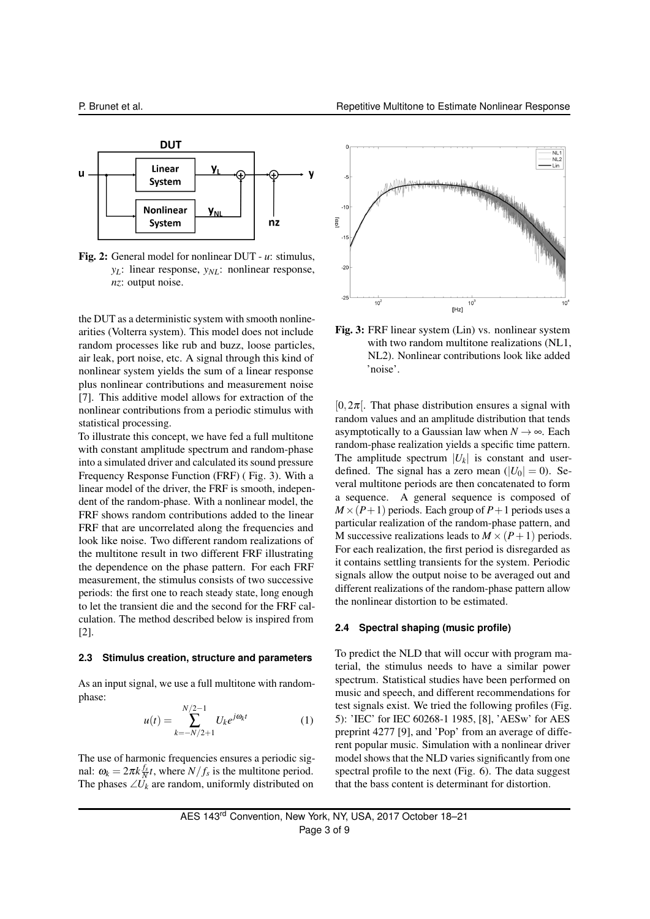

Fig. 2: General model for nonlinear DUT - *u*: stimulus, *yL*: linear response, *yNL*: nonlinear response, *nz*: output noise.

the DUT as a deterministic system with smooth nonlinearities (Volterra system). This model does not include random processes like rub and buzz, loose particles, air leak, port noise, etc. A signal through this kind of nonlinear system yields the sum of a linear response plus nonlinear contributions and measurement noise [7]. This additive model allows for extraction of the nonlinear contributions from a periodic stimulus with statistical processing.

To illustrate this concept, we have fed a full multitone with constant amplitude spectrum and random-phase into a simulated driver and calculated its sound pressure Frequency Response Function (FRF) ( Fig. 3). With a linear model of the driver, the FRF is smooth, independent of the random-phase. With a nonlinear model, the FRF shows random contributions added to the linear FRF that are uncorrelated along the frequencies and look like noise. Two different random realizations of the multitone result in two different FRF illustrating the dependence on the phase pattern. For each FRF measurement, the stimulus consists of two successive periods: the first one to reach steady state, long enough to let the transient die and the second for the FRF calculation. The method described below is inspired from [2].

#### **2.3 Stimulus creation, structure and parameters**

As an input signal, we use a full multitone with randomphase:

$$
u(t) = \sum_{k=-N/2+1}^{N/2-1} U_k e^{j\omega_k t}
$$
 (1)

The use of harmonic frequencies ensures a periodic signal:  $\omega_k = 2\pi k \frac{f_s}{N}t$ , where  $N/f_s$  is the multitone period. The phases  $\angle U_k$  are random, uniformly distributed on



Fig. 3: FRF linear system (Lin) vs. nonlinear system with two random multitone realizations (NL1, NL2). Nonlinear contributions look like added 'noise'.

 $[0,2\pi]$ . That phase distribution ensures a signal with random values and an amplitude distribution that tends asymptotically to a Gaussian law when  $N \rightarrow \infty$ . Each random-phase realization yields a specific time pattern. The amplitude spectrum  $|U_k|$  is constant and userdefined. The signal has a zero mean  $(|U_0| = 0)$ . Several multitone periods are then concatenated to form a sequence. A general sequence is composed of  $M \times (P+1)$  periods. Each group of  $P+1$  periods uses a particular realization of the random-phase pattern, and M successive realizations leads to  $M \times (P+1)$  periods. For each realization, the first period is disregarded as it contains settling transients for the system. Periodic signals allow the output noise to be averaged out and different realizations of the random-phase pattern allow the nonlinear distortion to be estimated.

#### **2.4 Spectral shaping (music profile)**

To predict the NLD that will occur with program material, the stimulus needs to have a similar power spectrum. Statistical studies have been performed on music and speech, and different recommendations for test signals exist. We tried the following profiles (Fig. 5): 'IEC' for IEC 60268-1 1985, [8], 'AESw' for AES preprint 4277 [9], and 'Pop' from an average of different popular music. Simulation with a nonlinear driver model shows that the NLD varies significantly from one spectral profile to the next (Fig. 6). The data suggest that the bass content is determinant for distortion.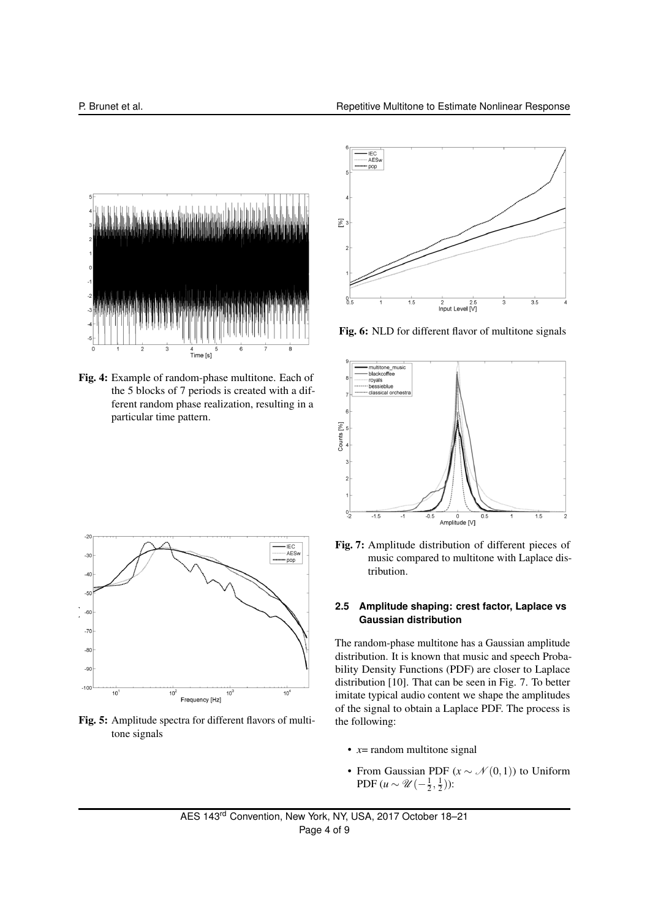

Fig. 4: Example of random-phase multitone. Each of the 5 blocks of 7 periods is created with a different random phase realization, resulting in a particular time pattern.



Fig. 6: NLD for different flavor of multitone signals





Fig. 5: Amplitude spectra for different flavors of multitone signals

Fig. 7: Amplitude distribution of different pieces of music compared to multitone with Laplace distribution.

## **2.5 Amplitude shaping: crest factor, Laplace vs Gaussian distribution**

The random-phase multitone has a Gaussian amplitude distribution. It is known that music and speech Probability Density Functions (PDF) are closer to Laplace distribution [10]. That can be seen in Fig. 7. To better imitate typical audio content we shape the amplitudes of the signal to obtain a Laplace PDF. The process is the following:

- $x=$  random multitone signal
- From Gaussian PDF  $(x \sim \mathcal{N}(0,1))$  to Uniform PDF  $(u \sim \mathcal{U}\left(-\frac{1}{2},\frac{1}{2}\right))$ :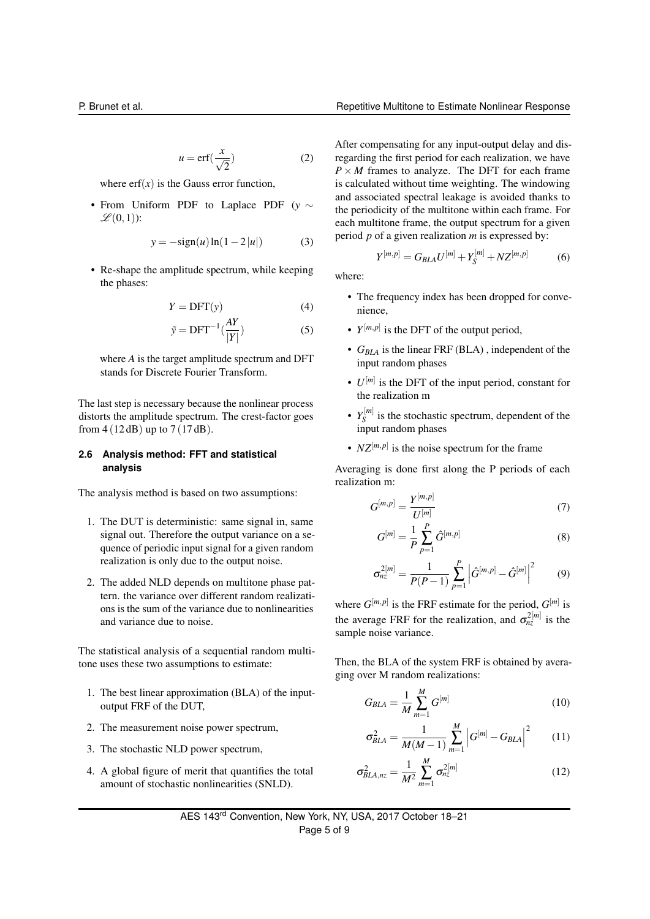$$
u = \text{erf}(\frac{x}{\sqrt{2}})
$$
 (2)

where  $erf(x)$  is the Gauss error function,

• From Uniform PDF to Laplace PDF (*y* ∼  $\mathscr{L}(0,1)$ :

$$
y = -\text{sign}(u)\ln(1 - 2|u|)
$$
 (3)

• Re-shape the amplitude spectrum, while keeping the phases:

$$
Y = DFT(y) \tag{4}
$$

$$
\tilde{y} = DFT^{-1}(\frac{AY}{|Y|})\tag{5}
$$

where *A* is the target amplitude spectrum and DFT stands for Discrete Fourier Transform.

The last step is necessary because the nonlinear process distorts the amplitude spectrum. The crest-factor goes from  $4(12 dB)$  up to  $7(17 dB)$ .

## **2.6 Analysis method: FFT and statistical analysis**

The analysis method is based on two assumptions:

- 1. The DUT is deterministic: same signal in, same signal out. Therefore the output variance on a sequence of periodic input signal for a given random realization is only due to the output noise.
- 2. The added NLD depends on multitone phase pattern. the variance over different random realizations is the sum of the variance due to nonlinearities and variance due to noise.

The statistical analysis of a sequential random multitone uses these two assumptions to estimate:

- 1. The best linear approximation (BLA) of the inputoutput FRF of the DUT,
- 2. The measurement noise power spectrum,
- 3. The stochastic NLD power spectrum,
- 4. A global figure of merit that quantifies the total amount of stochastic nonlinearities (SNLD).

After compensating for any input-output delay and disregarding the first period for each realization, we have  $P \times M$  frames to analyze. The DFT for each frame is calculated without time weighting. The windowing and associated spectral leakage is avoided thanks to the periodicity of the multitone within each frame. For each multitone frame, the output spectrum for a given period *p* of a given realization *m* is expressed by:

$$
Y^{[m,p]} = G_{BLA} U^{[m]} + Y_S^{[m]} + N Z^{[m,p]} \tag{6}
$$

where:

- The frequency index has been dropped for convenience,
- $Y^{[m,p]}$  is the DFT of the output period,
- *GBLA* is the linear FRF (BLA) , independent of the input random phases
- $U^{[m]}$  is the DFT of the input period, constant for the realization m
- $Y_{\rm S}^{[m]}$  $S<sub>S</sub>$ <sup>[*m*<sub>]</sub></sup> is the stochastic spectrum, dependent of the input random phases
- $NZ^{[m,p]}$  is the noise spectrum for the frame

Averaging is done first along the P periods of each realization m:

$$
G^{[m,p]} = \frac{Y^{[m,p]}}{U^{[m]}} \tag{7}
$$

$$
G^{[m]} = \frac{1}{P} \sum_{p=1}^{P} \hat{G}^{[m,p]} \tag{8}
$$

$$
\sigma_{nz}^{2[m]} = \frac{1}{P(P-1)} \sum_{p=1}^{P} \left| \hat{G}^{[m,p]} - \hat{G}^{[m]} \right|^2 \qquad (9)
$$

where  $G^{[m,p]}$  is the FRF estimate for the period,  $G^{[m]}$  is the average FRF for the realization, and  $\sigma_{nz}^{2[m]}$  is the sample noise variance.

Then, the BLA of the system FRF is obtained by averaging over M random realizations:

$$
G_{BLA} = \frac{1}{M} \sum_{m=1}^{M} G^{[m]} \tag{10}
$$

$$
\sigma_{BLA}^2 = \frac{1}{M(M-1)} \sum_{m=1}^{M} \left| G^{[m]} - G_{BLA} \right|^2 \qquad (11)
$$

$$
\sigma_{BLA,nz}^2 = \frac{1}{M^2} \sum_{m=1}^{M} \sigma_{nz}^{2[m]} \tag{12}
$$

AES 143rd Convention, New York, NY, USA, 2017 October 18–21 Page 5 of 9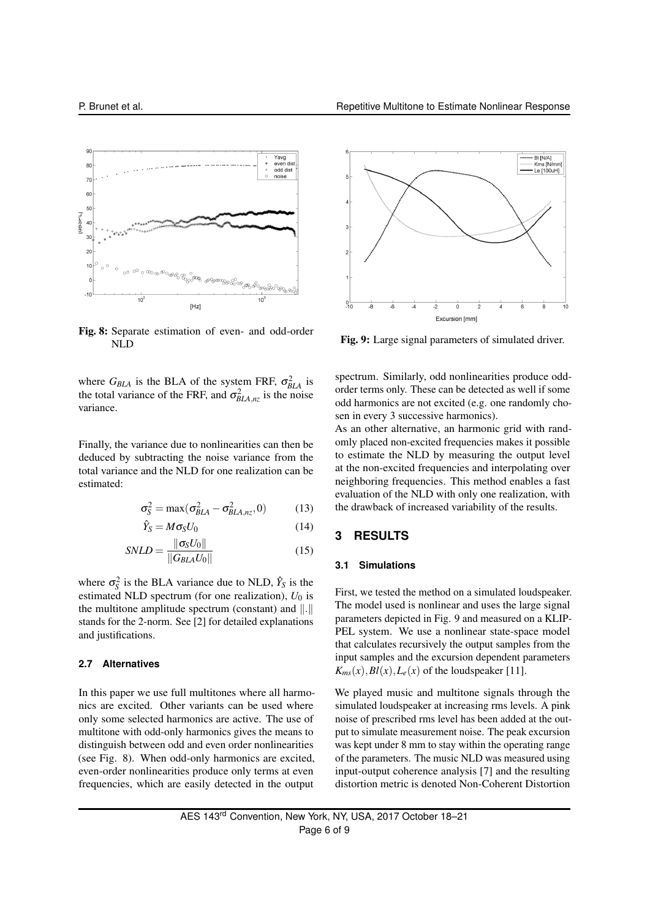

Fig. 8: Separate estimation of even- and odd-order NLD

where  $G_{BLA}$  is the BLA of the system FRF,  $\sigma_{BLA}^2$  is the total variance of the FRF, and  $\sigma_{BLA,nz}^2$  is the noise variance.

Finally, the variance due to nonlinearities can then be deduced by subtracting the noise variance from the total variance and the NLD for one realization can be estimated:

$$
\sigma_S^2 = \max(\sigma_{BLA}^2 - \sigma_{BLA,nz}^2, 0) \tag{13}
$$

$$
\hat{Y}_S = M \sigma_S U_0 \tag{14}
$$

$$
SNLD = \frac{\|\sigma_S U_0\|}{\|G_{BLA}U_0\|} \tag{15}
$$

where  $\sigma_S^2$  is the BLA variance due to NLD,  $\hat{Y}_S$  is the estimated NLD spectrum (for one realization),  $U_0$  is the multitone amplitude spectrum (constant) and  $\|.\|$ stands for the 2-norm. See [2] for detailed explanations and justifications.

#### **2.7 Alternatives**

In this paper we use full multitones where all harmonics are excited. Other variants can be used where only some selected harmonics are active. The use of multitone with odd-only harmonics gives the means to distinguish between odd and even order nonlinearities (see Fig. 8). When odd-only harmonics are excited, even-order nonlinearities produce only terms at even frequencies, which are easily detected in the output



Fig. 9: Large signal parameters of simulated driver.

spectrum. Similarly, odd nonlinearities produce oddorder terms only. These can be detected as well if some odd harmonics are not excited (e.g. one randomly chosen in every 3 successive harmonics).

As an other alternative, an harmonic grid with randomly placed non-excited frequencies makes it possible to estimate the NLD by measuring the output level at the non-excited frequencies and interpolating over neighboring frequencies. This method enables a fast evaluation of the NLD with only one realization, with the drawback of increased variability of the results.

#### **3 RESULTS**

#### **3.1 Simulations**

First, we tested the method on a simulated loudspeaker. The model used is nonlinear and uses the large signal parameters depicted in Fig. 9 and measured on a KLIP-PEL system. We use a nonlinear state-space model that calculates recursively the output samples from the input samples and the excursion dependent parameters  $K_{ms}(x), Bl(x), L_e(x)$  of the loudspeaker [11].

We played music and multitone signals through the simulated loudspeaker at increasing rms levels. A pink noise of prescribed rms level has been added at the output to simulate measurement noise. The peak excursion was kept under 8 mm to stay within the operating range of the parameters. The music NLD was measured using input-output coherence analysis [7] and the resulting distortion metric is denoted Non-Coherent Distortion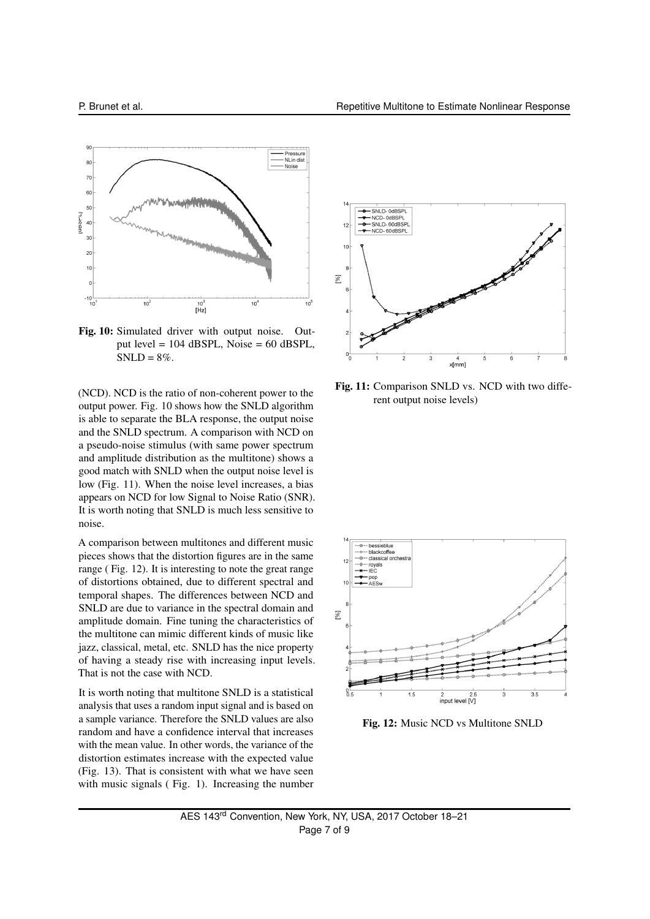

Fig. 10: Simulated driver with output noise. Output level = 104 dBSPL, Noise = 60 dBSPL,  $SNLD = 8\%$ .

(NCD). NCD is the ratio of non-coherent power to the output power. Fig. 10 shows how the SNLD algorithm is able to separate the BLA response, the output noise and the SNLD spectrum. A comparison with NCD on a pseudo-noise stimulus (with same power spectrum and amplitude distribution as the multitone) shows a good match with SNLD when the output noise level is low (Fig. 11). When the noise level increases, a bias appears on NCD for low Signal to Noise Ratio (SNR). It is worth noting that SNLD is much less sensitive to noise.

A comparison between multitones and different music pieces shows that the distortion figures are in the same range ( Fig. 12). It is interesting to note the great range of distortions obtained, due to different spectral and temporal shapes. The differences between NCD and SNLD are due to variance in the spectral domain and amplitude domain. Fine tuning the characteristics of the multitone can mimic different kinds of music like jazz, classical, metal, etc. SNLD has the nice property of having a steady rise with increasing input levels. That is not the case with NCD.

It is worth noting that multitone SNLD is a statistical analysis that uses a random input signal and is based on a sample variance. Therefore the SNLD values are also random and have a confidence interval that increases with the mean value. In other words, the variance of the distortion estimates increase with the expected value (Fig. 13). That is consistent with what we have seen with music signals (Fig. 1). Increasing the number



Fig. 11: Comparison SNLD vs. NCD with two different output noise levels)



Fig. 12: Music NCD vs Multitone SNLD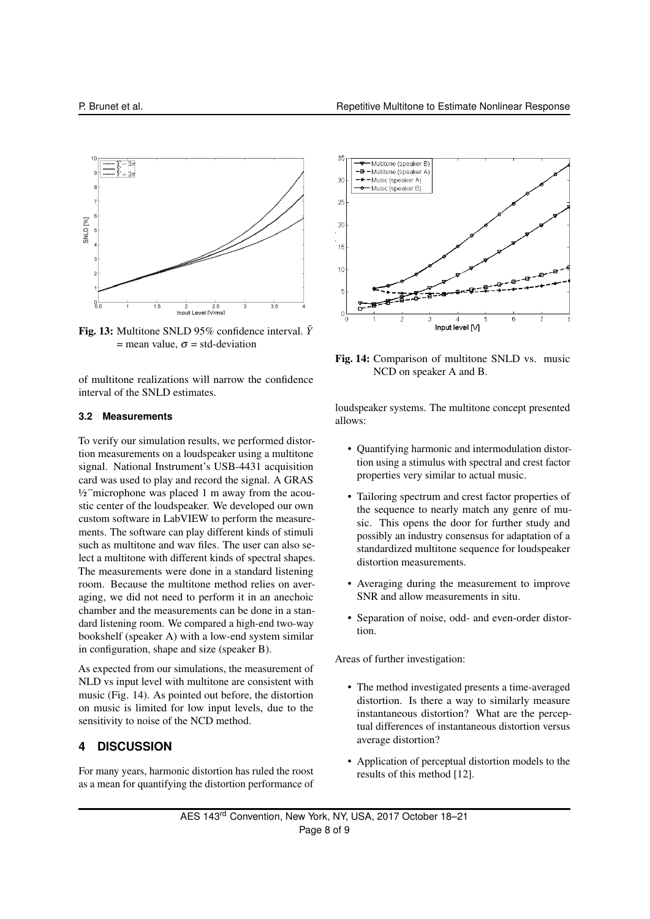

Fig. 13: Multitone SNLD 95% confidence interval.  $\bar{Y}$  $=$  mean value,  $\sigma$  = std-deviation

of multitone realizations will narrow the confidence interval of the SNLD estimates.

#### **3.2 Measurements**

To verify our simulation results, we performed distortion measurements on a loudspeaker using a multitone signal. National Instrument's USB-4431 acquisition card was used to play and record the signal. A GRAS  $\frac{1}{2}$ "microphone was placed 1 m away from the acoustic center of the loudspeaker. We developed our own custom software in LabVIEW to perform the measurements. The software can play different kinds of stimuli such as multitone and wav files. The user can also select a multitone with different kinds of spectral shapes. The measurements were done in a standard listening room. Because the multitone method relies on averaging, we did not need to perform it in an anechoic chamber and the measurements can be done in a standard listening room. We compared a high-end two-way bookshelf (speaker A) with a low-end system similar in configuration, shape and size (speaker B).

As expected from our simulations, the measurement of NLD vs input level with multitone are consistent with music (Fig. 14). As pointed out before, the distortion on music is limited for low input levels, due to the sensitivity to noise of the NCD method.

# **4 DISCUSSION**

For many years, harmonic distortion has ruled the roost as a mean for quantifying the distortion performance of



Fig. 14: Comparison of multitone SNLD vs. music NCD on speaker A and B.

loudspeaker systems. The multitone concept presented allows:

- Quantifying harmonic and intermodulation distortion using a stimulus with spectral and crest factor properties very similar to actual music.
- Tailoring spectrum and crest factor properties of the sequence to nearly match any genre of music. This opens the door for further study and possibly an industry consensus for adaptation of a standardized multitone sequence for loudspeaker distortion measurements.
- Averaging during the measurement to improve SNR and allow measurements in situ.
- Separation of noise, odd- and even-order distortion.

Areas of further investigation:

- The method investigated presents a time-averaged distortion. Is there a way to similarly measure instantaneous distortion? What are the perceptual differences of instantaneous distortion versus average distortion?
- Application of perceptual distortion models to the results of this method [12].